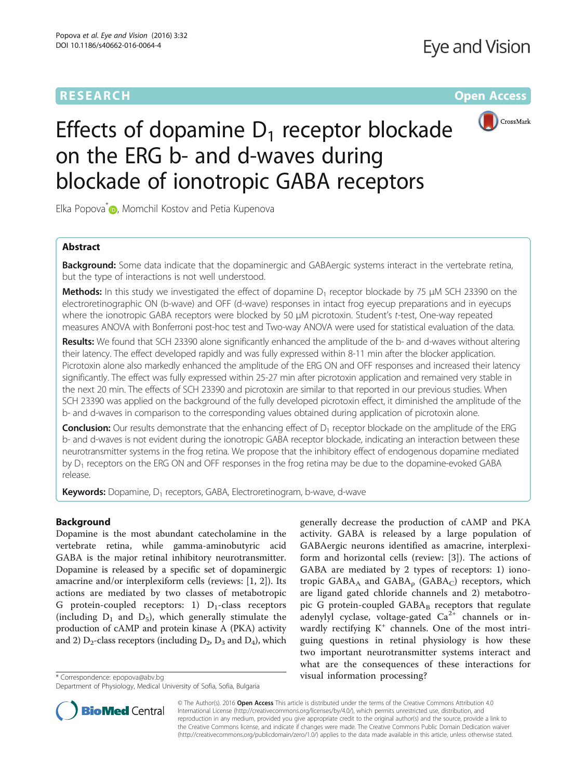# **RESEARCH CHINESE ARCH CHINESE ARCH CHINESE ARCH**



# Effects of dopamine  $D_1$  receptor blockade on the ERG b- and d-waves during blockade of ionotropic GABA receptors

Elka Popova<sup>[\\*](http://orcid.org/0000-0002-3744-7696)</sup> D, Momchil Kostov and Petia Kupenova

# Abstract

**Background:** Some data indicate that the dopaminergic and GABAergic systems interact in the vertebrate retina, but the type of interactions is not well understood.

**Methods:** In this study we investigated the effect of dopamine  $D_1$  receptor blockade by 75  $\mu$ M SCH 23390 on the electroretinographic ON (b-wave) and OFF (d-wave) responses in intact frog eyecup preparations and in eyecups where the ionotropic GABA receptors were blocked by 50 μM picrotoxin. Student's t-test, One-way repeated measures ANOVA with Bonferroni post-hoc test and Two-way ANOVA were used for statistical evaluation of the data.

Results: We found that SCH 23390 alone significantly enhanced the amplitude of the b- and d-waves without altering their latency. The effect developed rapidly and was fully expressed within 8-11 min after the blocker application. Picrotoxin alone also markedly enhanced the amplitude of the ERG ON and OFF responses and increased their latency significantly. The effect was fully expressed within 25-27 min after picrotoxin application and remained very stable in the next 20 min. The effects of SCH 23390 and picrotoxin are similar to that reported in our previous studies. When SCH 23390 was applied on the background of the fully developed picrotoxin effect, it diminished the amplitude of the b- and d-waves in comparison to the corresponding values obtained during application of picrotoxin alone.

**Conclusion:** Our results demonstrate that the enhancing effect of  $D_1$  receptor blockade on the amplitude of the ERG b- and d-waves is not evident during the ionotropic GABA receptor blockade, indicating an interaction between these neurotransmitter systems in the frog retina. We propose that the inhibitory effect of endogenous dopamine mediated by D<sub>1</sub> receptors on the ERG ON and OFF responses in the frog retina may be due to the dopamine-evoked GABA release.

**Keywords:** Dopamine,  $D_1$  receptors, GABA, Electroretinogram, b-wave, d-wave

# Background

Dopamine is the most abundant catecholamine in the vertebrate retina, while gamma-aminobutyric acid GABA is the major retinal inhibitory neurotransmitter. Dopamine is released by a specific set of dopaminergic amacrine and/or interplexiform cells (reviews: [\[1](#page-6-0), [2](#page-7-0)]). Its actions are mediated by two classes of metabotropic G protein-coupled receptors: 1)  $D_1$ -class receptors (including  $D_1$  and  $D_5$ ), which generally stimulate the production of cAMP and protein kinase A (PKA) activity and 2)  $D_2$ -class receptors (including  $D_2$ ,  $D_3$  and  $D_4$ ), which

generally decrease the production of cAMP and PKA activity. GABA is released by a large population of GABAergic neurons identified as amacrine, interplexiform and horizontal cells (review: [[3](#page-7-0)]). The actions of GABA are mediated by 2 types of receptors: 1) ionotropic  $GABA_A$  and  $GABA_p$  ( $GABA_C$ ) receptors, which are ligand gated chloride channels and 2) metabotropic G protein-coupled  $GABA_B$  receptors that regulate adenylyl cyclase, voltage-gated  $Ca^{2+}$  channels or inwardly rectifying  $K^+$  channels. One of the most intriguing questions in retinal physiology is how these two important neurotransmitter systems interact and what are the consequences of these interactions for \* Correspondence: [epopova@abv.bg](mailto:epopova@abv.bg) visual information processing?



© The Author(s). 2016 **Open Access** This article is distributed under the terms of the Creative Commons Attribution 4.0 International License [\(http://creativecommons.org/licenses/by/4.0/](http://creativecommons.org/licenses/by/4.0/)), which permits unrestricted use, distribution, and reproduction in any medium, provided you give appropriate credit to the original author(s) and the source, provide a link to the Creative Commons license, and indicate if changes were made. The Creative Commons Public Domain Dedication waiver [\(http://creativecommons.org/publicdomain/zero/1.0/](http://creativecommons.org/publicdomain/zero/1.0/)) applies to the data made available in this article, unless otherwise stated.

Department of Physiology, Medical University of Sofia, Sofia, Bulgaria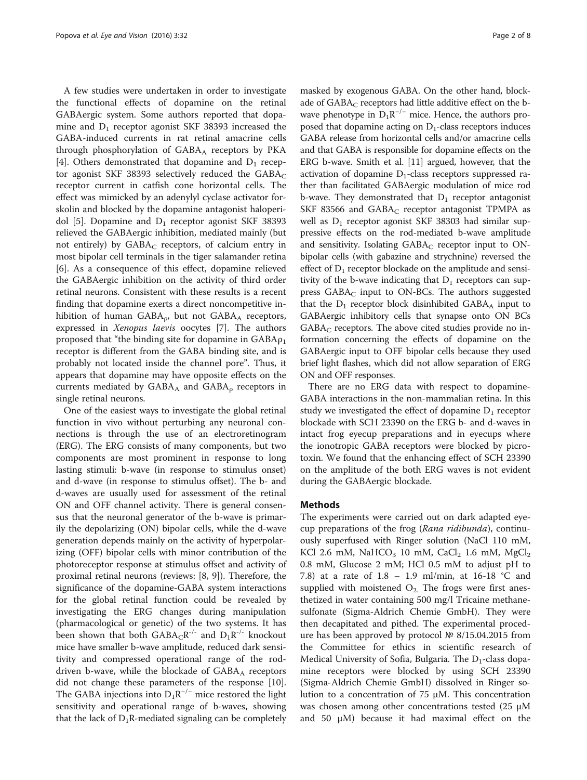A few studies were undertaken in order to investigate the functional effects of dopamine on the retinal GABAergic system. Some authors reported that dopamine and  $D_1$  receptor agonist SKF 38393 increased the GABA-induced currents in rat retinal amacrine cells through phosphorylation of  $GABA_A$  receptors by PKA [[4\]](#page-7-0). Others demonstrated that dopamine and  $D_1$  receptor agonist SKF 38393 selectively reduced the  $GABA_C$ receptor current in catfish cone horizontal cells. The effect was mimicked by an adenylyl cyclase activator forskolin and blocked by the dopamine antagonist haloperi-dol [\[5\]](#page-7-0). Dopamine and  $D_1$  receptor agonist SKF 38393 relieved the GABAergic inhibition, mediated mainly (but not entirely) by  $GABA_C$  receptors, of calcium entry in most bipolar cell terminals in the tiger salamander retina [[6\]](#page-7-0). As a consequence of this effect, dopamine relieved the GABAergic inhibition on the activity of third order retinal neurons. Consistent with these results is a recent finding that dopamine exerts a direct noncompetitive inhibition of human  $GABA_{\rho}$ , but not  $GABA_A$  receptors, expressed in Xenopus laevis oocytes [\[7](#page-7-0)]. The authors proposed that "the binding site for dopamine in  $GABA\rho_1$ receptor is different from the GABA binding site, and is probably not located inside the channel pore". Thus, it appears that dopamine may have opposite effects on the currents mediated by  $GABA_A$  and  $GABA_p$  receptors in single retinal neurons.

One of the easiest ways to investigate the global retinal function in vivo without perturbing any neuronal connections is through the use of an electroretinogram (ERG). The ERG consists of many components, but two components are most prominent in response to long lasting stimuli: b-wave (in response to stimulus onset) and d-wave (in response to stimulus offset). The b- and d-waves are usually used for assessment of the retinal ON and OFF channel activity. There is general consensus that the neuronal generator of the b-wave is primarily the depolarizing (ON) bipolar cells, while the d-wave generation depends mainly on the activity of hyperpolarizing (OFF) bipolar cells with minor contribution of the photoreceptor response at stimulus offset and activity of proximal retinal neurons (reviews: [[8, 9](#page-7-0)]). Therefore, the significance of the dopamine-GABA system interactions for the global retinal function could be revealed by investigating the ERG changes during manipulation (pharmacological or genetic) of the two systems. It has been shown that both  $GABA_C R^{-1}$  and  $D_1R^{-1}$  knockout mice have smaller b-wave amplitude, reduced dark sensitivity and compressed operational range of the roddriven b-wave, while the blockade of  $GABA_A$  receptors did not change these parameters of the response [\[10](#page-7-0)]. The GABA injections into  $D_1R^{-/-}$  mice restored the light sensitivity and operational range of b-waves, showing that the lack of  $D_1R$ -mediated signaling can be completely

masked by exogenous GABA. On the other hand, blockade of  $GABA_C$  receptors had little additive effect on the bwave phenotype in  $D_1R^{-/-}$  mice. Hence, the authors proposed that dopamine acting on  $D_1$ -class receptors induces GABA release from horizontal cells and/or amacrine cells and that GABA is responsible for dopamine effects on the ERG b-wave. Smith et al. [\[11\]](#page-7-0) argued, however, that the activation of dopamine  $D_1$ -class receptors suppressed rather than facilitated GABAergic modulation of mice rod b-wave. They demonstrated that  $D_1$  receptor antagonist SKF 83566 and  $GABA_C$  receptor antagonist TPMPA as well as  $D_1$  receptor agonist SKF 38303 had similar suppressive effects on the rod-mediated b-wave amplitude and sensitivity. Isolating  $GABA_C$  receptor input to ONbipolar cells (with gabazine and strychnine) reversed the effect of  $D_1$  receptor blockade on the amplitude and sensitivity of the b-wave indicating that  $D_1$  receptors can suppress  $GABA_C$  input to ON-BCs. The authors suggested that the  $D_1$  receptor block disinhibited GABA<sub>A</sub> input to GABAergic inhibitory cells that synapse onto ON BCs  $GABA_C$  receptors. The above cited studies provide no information concerning the effects of dopamine on the GABAergic input to OFF bipolar cells because they used brief light flashes, which did not allow separation of ERG ON and OFF responses.

There are no ERG data with respect to dopamine-GABA interactions in the non-mammalian retina. In this study we investigated the effect of dopamine  $D_1$  receptor blockade with SCH 23390 on the ERG b- and d-waves in intact frog eyecup preparations and in eyecups where the ionotropic GABA receptors were blocked by picrotoxin. We found that the enhancing effect of SCH 23390 on the amplitude of the both ERG waves is not evident during the GABAergic blockade.

#### Methods

The experiments were carried out on dark adapted eyecup preparations of the frog (Rana ridibunda), continuously superfused with Ringer solution (NaCl 110 mM, KCl 2.6 mM, NaHCO<sub>3</sub> 10 mM, CaCl<sub>2</sub> 1.6 mM, MgCl<sub>2</sub> 0.8 mM, Glucose 2 mM; HCl 0.5 mM to adjust pH to 7.8) at a rate of 1.8 – 1.9 ml/min, at 16-18 °C and supplied with moistened  $O_2$ . The frogs were first anesthetized in water containing 500 mg/l Tricaine methanesulfonate (Sigma-Aldrich Chemie GmbH). They were then decapitated and pithed. The experimental procedure has been approved by protocol № 8/15.04.2015 from the Committee for ethics in scientific research of Medical University of Sofia, Bulgaria. The  $D_1$ -class dopamine receptors were blocked by using SCH 23390 (Sigma-Aldrich Chemie GmbH) dissolved in Ringer solution to a concentration of 75 μM. This concentration was chosen among other concentrations tested (25 μM and 50 μM) because it had maximal effect on the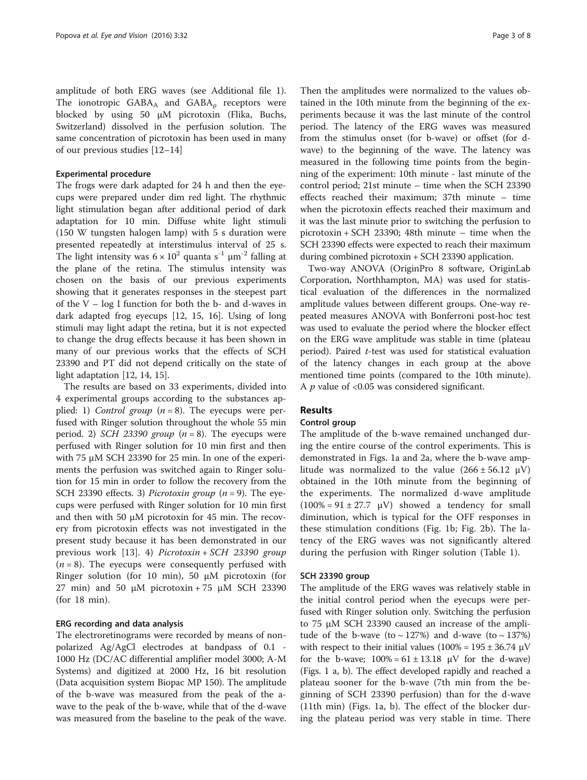amplitude of both ERG waves (see Additional file [1](#page-6-0)). The ionotropic  $GABA_A$  and  $GABA_o$  receptors were blocked by using 50 μM picrotoxin (Flika, Buchs, Switzerland) dissolved in the perfusion solution. The same concentration of picrotoxin has been used in many of our previous studies [[12](#page-7-0)–[14](#page-7-0)]

#### Experimental procedure

The frogs were dark adapted for 24 h and then the eyecups were prepared under dim red light. The rhythmic light stimulation began after additional period of dark adaptation for 10 min. Diffuse white light stimuli (150 W tungsten halogen lamp) with 5 s duration were presented repeatedly at interstimulus interval of 25 s. The light intensity was  $6 \times 10^2$  quanta s<sup>-1</sup>  $\mu$ m<sup>-2</sup> falling at the plane of the retina. The stimulus intensity was chosen on the basis of our previous experiments showing that it generates responses in the steepest part of the  $V - log I$  function for both the b- and d-waves in dark adapted frog eyecups [[12, 15, 16](#page-7-0)]. Using of long stimuli may light adapt the retina, but it is not expected to change the drug effects because it has been shown in many of our previous works that the effects of SCH 23390 and PT did not depend critically on the state of light adaptation [\[12, 14, 15\]](#page-7-0).

The results are based on 33 experiments, divided into 4 experimental groups according to the substances applied: 1) *Control group*  $(n = 8)$ . The eyecups were perfused with Ringer solution throughout the whole 55 min period. 2) SCH 23390 group ( $n = 8$ ). The eyecups were perfused with Ringer solution for 10 min first and then with 75 μM SCH 23390 for 25 min. In one of the experiments the perfusion was switched again to Ringer solution for 15 min in order to follow the recovery from the SCH 23390 effects. 3) *Picrotoxin group*  $(n = 9)$ . The eyecups were perfused with Ringer solution for 10 min first and then with 50  $\mu$ M picrotoxin for 45 min. The recovery from picrotoxin effects was not investigated in the present study because it has been demonstrated in our previous work [[13\]](#page-7-0). 4) Picrotoxin + SCH 23390 group  $(n = 8)$ . The eyecups were consequently perfused with Ringer solution (for 10 min), 50 μM picrotoxin (for 27 min) and 50 μM picrotoxin + 75 μM SCH 23390 (for 18 min).

### ERG recording and data analysis

The electroretinograms were recorded by means of nonpolarized Ag/AgCl electrodes at bandpass of 0.1 - 1000 Hz (DC/AC differential amplifier model 3000; A-M Systems) and digitized at 2000 Hz, 16 bit resolution (Data acquisition system Biopac MP 150). The amplitude of the b-wave was measured from the peak of the awave to the peak of the b-wave, while that of the d-wave was measured from the baseline to the peak of the wave.

Then the amplitudes were normalized to the values obtained in the 10th minute from the beginning of the experiments because it was the last minute of the control period. The latency of the ERG waves was measured from the stimulus onset (for b-wave) or offset (for dwave) to the beginning of the wave. The latency was measured in the following time points from the beginning of the experiment: 10th minute - last minute of the control period; 21st minute – time when the SCH 23390 effects reached their maximum; 37th minute – time when the picrotoxin effects reached their maximum and it was the last minute prior to switching the perfusion to picrotoxin + SCH 23390; 48th minute – time when the SCH 23390 effects were expected to reach their maximum during combined picrotoxin + SCH 23390 application.

Two-way ANOVA (OriginPro 8 software, OriginLab Corporation, Northhampton, MA) was used for statistical evaluation of the differences in the normalized amplitude values between different groups. One-way repeated measures ANOVA with Bonferroni post-hoc test was used to evaluate the period where the blocker effect on the ERG wave amplitude was stable in time (plateau period). Paired *t*-test was used for statistical evaluation of the latency changes in each group at the above mentioned time points (compared to the 10th minute). A  $p$  value of <0.05 was considered significant.

#### Results

#### Control group

The amplitude of the b-wave remained unchanged during the entire course of the control experiments. This is demonstrated in Figs. [1a](#page-3-0) and [2a](#page-5-0), where the b-wave amplitude was normalized to the value  $(266 \pm 56.12 \text{ }\mu\text{V})$ obtained in the 10th minute from the beginning of the experiments. The normalized d-wave amplitude  $(100\% = 91 \pm 27.7 \text{ }\mu\text{V})$  showed a tendency for small diminution, which is typical for the OFF responses in these stimulation conditions (Fig. [1b](#page-3-0); Fig. [2b\)](#page-5-0). The latency of the ERG waves was not significantly altered during the perfusion with Ringer solution (Table [1](#page-4-0)).

#### SCH 23390 group

The amplitude of the ERG waves was relatively stable in the initial control period when the eyecups were perfused with Ringer solution only. Switching the perfusion to 75 μM SCH 23390 caused an increase of the amplitude of the b-wave (to  $\sim$  127%) and d-wave (to  $\sim$  137%) with respect to their initial values  $(100\% = 195 \pm 36.74 \,\mu\text{V})$ for the b-wave;  $100\% = 61 \pm 13.18$   $\mu$ V for the d-wave) (Figs. [1](#page-3-0) a, b). The effect developed rapidly and reached a plateau sooner for the b-wave (7th min from the beginning of SCH 23390 perfusion) than for the d-wave (11th min) (Figs. [1a, b\)](#page-3-0). The effect of the blocker during the plateau period was very stable in time. There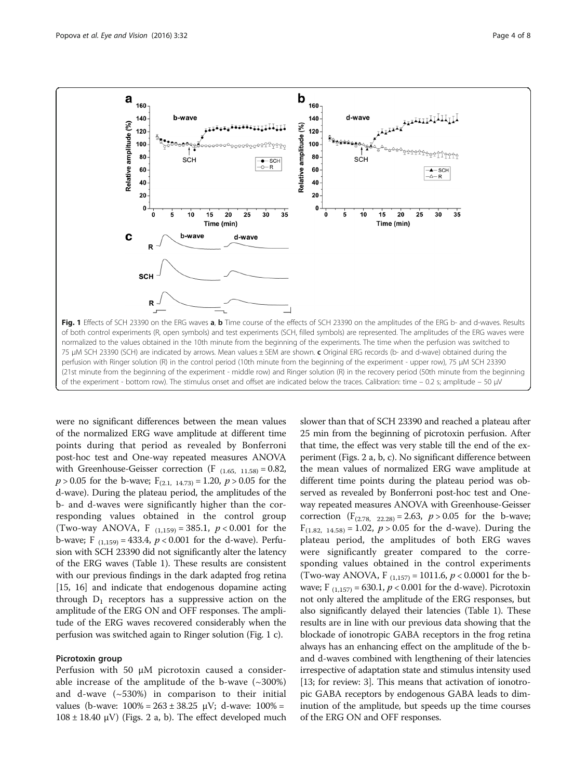<span id="page-3-0"></span>

were no significant differences between the mean values of the normalized ERG wave amplitude at different time points during that period as revealed by Bonferroni post-hoc test and One-way repeated measures ANOVA with Greenhouse-Geisser correction (F  $_{(1.65, 11.58)} = 0.82$ ,  $p > 0.05$  for the b-wave;  $F_{(2,1, 14.73)} = 1.20$ ,  $p > 0.05$  for the d-wave). During the plateau period, the amplitudes of the b- and d-waves were significantly higher than the corresponding values obtained in the control group (Two-way ANOVA, F  $_{(1,159)} = 385.1$ ,  $p < 0.001$  for the b-wave; F  $_{(1,159)} = 433.4$ ,  $p < 0.001$  for the d-wave). Perfusion with SCH 23390 did not significantly alter the latency of the ERG waves (Table [1\)](#page-4-0). These results are consistent with our previous findings in the dark adapted frog retina [[15](#page-7-0), [16\]](#page-7-0) and indicate that endogenous dopamine acting through  $D_1$  receptors has a suppressive action on the amplitude of the ERG ON and OFF responses. The amplitude of the ERG waves recovered considerably when the perfusion was switched again to Ringer solution (Fig. 1 c).

#### Picrotoxin group

Perfusion with 50 μM picrotoxin caused a considerable increase of the amplitude of the b-wave  $(\sim 300\%)$ and d-wave (~530%) in comparison to their initial values (b-wave:  $100\% = 263 \pm 38.25 \, \mu\text{V}$ ; d-wave:  $100\% =$  $108 \pm 18.40 \mu V$ ) (Figs. [2](#page-5-0) a, b). The effect developed much

slower than that of SCH 23390 and reached a plateau after 25 min from the beginning of picrotoxin perfusion. After that time, the effect was very stable till the end of the experiment (Figs. [2](#page-5-0) a, b, c). No significant difference between the mean values of normalized ERG wave amplitude at different time points during the plateau period was observed as revealed by Bonferroni post-hoc test and Oneway repeated measures ANOVA with Greenhouse-Geisser correction  $(F_{(2.78, 22.28)} = 2.63, p > 0.05$  for the b-wave;  $F_{(1.82, 14.58)} = 1.02$ ,  $p > 0.05$  for the d-wave). During the plateau period, the amplitudes of both ERG waves were significantly greater compared to the corresponding values obtained in the control experiments (Two-way ANOVA, F  $_{(1.157)}$  = 1011.6, p < 0.0001 for the bwave; F  $_{(1,157)} = 630.1, p < 0.001$  for the d-wave). Picrotoxin not only altered the amplitude of the ERG responses, but also significantly delayed their latencies (Table [1](#page-4-0)). These results are in line with our previous data showing that the blockade of ionotropic GABA receptors in the frog retina always has an enhancing effect on the amplitude of the band d-waves combined with lengthening of their latencies irrespective of adaptation state and stimulus intensity used [13; for review: 3]. This means that activation of ionotropic GABA receptors by endogenous GABA leads to diminution of the amplitude, but speeds up the time courses of the ERG ON and OFF responses.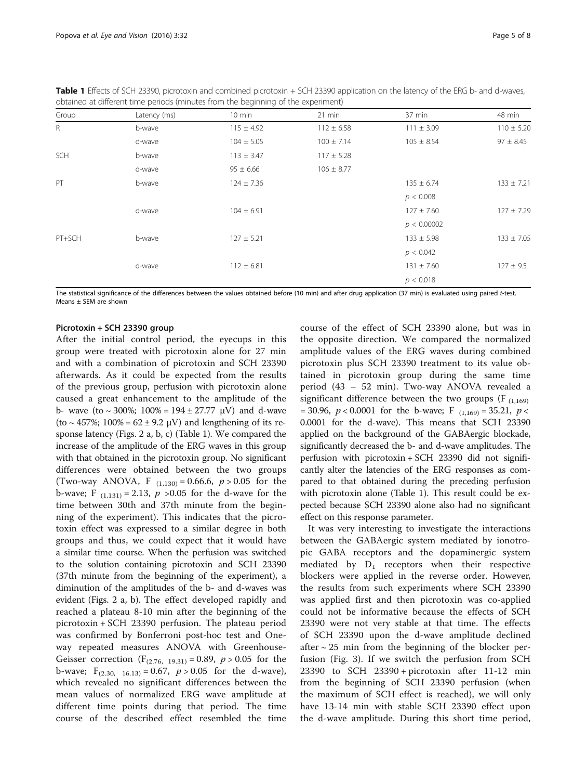<span id="page-4-0"></span>Table 1 Effects of SCH 23390, picrotoxin and combined picrotoxin + SCH 23390 application on the latency of the ERG b- and d-waves, obtained at different time periods (minutes from the beginning of the experiment)

| Group        | Latency (ms) | 10 min         | $21$ min       | 37 min         | 48 min         |
|--------------|--------------|----------------|----------------|----------------|----------------|
| $\mathsf{R}$ | b-wave       | $115 \pm 4.92$ | $112 \pm 6.58$ | $111 \pm 3.09$ | $110 \pm 5.20$ |
|              | d-wave       | $104 \pm 5.05$ | $100 \pm 7.14$ | $105 \pm 8.54$ | $97 \pm 8.45$  |
| SCH          | b-wave       | $113 \pm 3.47$ | $117 \pm 5.28$ |                |                |
|              | d-wave       | $95 \pm 6.66$  | $106 \pm 8.77$ |                |                |
| PT           | b-wave       | $124 \pm 7.36$ |                | $135 \pm 6.74$ | $133 \pm 7.21$ |
|              |              |                |                | p < 0.008      |                |
|              | d-wave       | $104 \pm 6.91$ |                | $127 \pm 7.60$ | $127 \pm 7.29$ |
|              |              |                |                | p < 0.00002    |                |
| PT+SCH       | b-wave       | $127 \pm 5.21$ |                | $133 \pm 5.98$ | $133 \pm 7.05$ |
|              |              |                |                | p < 0.042      |                |
|              | d-wave       | $112 \pm 6.81$ |                | $131 \pm 7.60$ | $127 \pm 9.5$  |
|              |              |                |                | p < 0.018      |                |

The statistical significance of the differences between the values obtained before (10 min) and after drug application (37 min) is evaluated using paired t-test. Means ± SEM are shown

#### Picrotoxin + SCH 23390 group

After the initial control period, the eyecups in this group were treated with picrotoxin alone for 27 min and with a combination of picrotoxin and SCH 23390 afterwards. As it could be expected from the results of the previous group, perfusion with picrotoxin alone caused a great enhancement to the amplitude of the b- wave (to  $\sim$  300%; 100% = 194 ± 27.77 µV) and d-wave (to  $\sim$  457%; 100% = 62 ± 9.2 µV) and lengthening of its response latency (Figs. [2](#page-5-0) a, b, c) (Table 1). We compared the increase of the amplitude of the ERG waves in this group with that obtained in the picrotoxin group. No significant differences were obtained between the two groups (Two-way ANOVA, F  $_{(1,130)} = 0.66.6$ ,  $p > 0.05$  for the b-wave; F  $_{(1,131)} = 2.13$ , p > 0.05 for the d-wave for the time between 30th and 37th minute from the beginning of the experiment). This indicates that the picrotoxin effect was expressed to a similar degree in both groups and thus, we could expect that it would have a similar time course. When the perfusion was switched to the solution containing picrotoxin and SCH 23390 (37th minute from the beginning of the experiment), a diminution of the amplitudes of the b- and d-waves was evident (Figs. [2](#page-5-0) a, b). The effect developed rapidly and reached a plateau 8-10 min after the beginning of the picrotoxin + SCH 23390 perfusion. The plateau period was confirmed by Bonferroni post-hoc test and Oneway repeated measures ANOVA with Greenhouse-Geisser correction ( $F_{(2.76, 19.31)} = 0.89$ ,  $p > 0.05$  for the b-wave;  $F_{(2.30, 16.13)} = 0.67$ ,  $p > 0.05$  for the d-wave), which revealed no significant differences between the mean values of normalized ERG wave amplitude at different time points during that period. The time course of the described effect resembled the time course of the effect of SCH 23390 alone, but was in the opposite direction. We compared the normalized amplitude values of the ERG waves during combined picrotoxin plus SCH 23390 treatment to its value obtained in picrotoxin group during the same time period (43 – 52 min). Two-way ANOVA revealed a significant difference between the two groups ( $F_{(1,169)}$ ) = 30.96,  $p < 0.0001$  for the b-wave; F  $_{(1,169)} = 35.21$ ,  $p <$ 0.0001 for the d-wave). This means that SCH 23390 applied on the background of the GABAergic blockade, significantly decreased the b- and d-wave amplitudes. The perfusion with picrotoxin + SCH 23390 did not significantly alter the latencies of the ERG responses as compared to that obtained during the preceding perfusion with picrotoxin alone (Table 1). This result could be expected because SCH 23390 alone also had no significant effect on this response parameter.

It was very interesting to investigate the interactions between the GABAergic system mediated by ionotropic GABA receptors and the dopaminergic system mediated by  $D_1$  receptors when their respective blockers were applied in the reverse order. However, the results from such experiments where SCH 23390 was applied first and then picrotoxin was co-applied could not be informative because the effects of SCH 23390 were not very stable at that time. The effects of SCH 23390 upon the d-wave amplitude declined after  $\sim$  25 min from the beginning of the blocker perfusion (Fig. [3](#page-6-0)). If we switch the perfusion from SCH 23390 to SCH 23390 + picrotoxin after 11-12 min from the beginning of SCH 23390 perfusion (when the maximum of SCH effect is reached), we will only have 13-14 min with stable SCH 23390 effect upon the d-wave amplitude. During this short time period,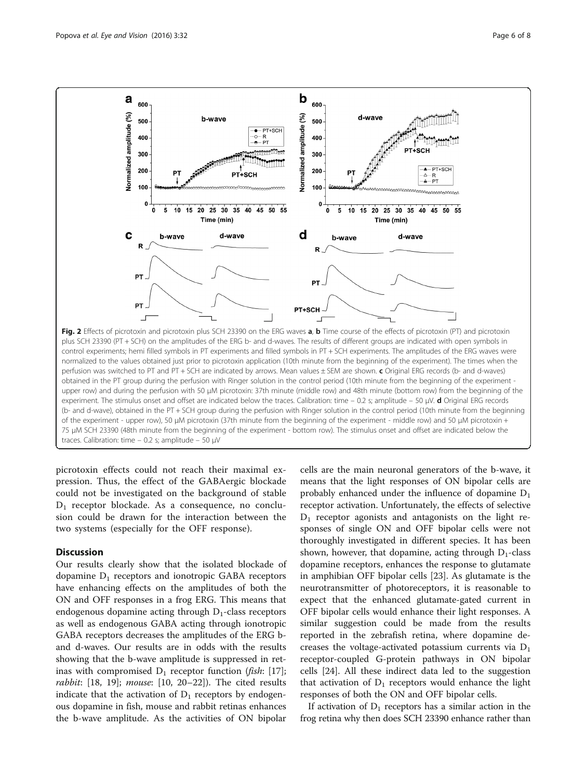<span id="page-5-0"></span>

traces. Calibration: time – 0.2 s; amplitude – 50 μV

picrotoxin effects could not reach their maximal expression. Thus, the effect of the GABAergic blockade could not be investigated on the background of stable D1 receptor blockade. As a consequence, no conclusion could be drawn for the interaction between the two systems (especially for the OFF response).

#### **Discussion**

Our results clearly show that the isolated blockade of dopamine  $D_1$  receptors and ionotropic GABA receptors have enhancing effects on the amplitudes of both the ON and OFF responses in a frog ERG. This means that endogenous dopamine acting through  $D_1$ -class receptors as well as endogenous GABA acting through ionotropic GABA receptors decreases the amplitudes of the ERG band d-waves. Our results are in odds with the results showing that the b-wave amplitude is suppressed in retinas with compromised  $D_1$  receptor function (fish: [\[17](#page-7-0)]; rabbit:  $[18, 19]$  $[18, 19]$  $[18, 19]$  $[18, 19]$ ; mouse:  $[10, 20-22]$  $[10, 20-22]$  $[10, 20-22]$  $[10, 20-22]$  $[10, 20-22]$  $[10, 20-22]$ ). The cited results indicate that the activation of  $D_1$  receptors by endogenous dopamine in fish, mouse and rabbit retinas enhances the b-wave amplitude. As the activities of ON bipolar cells are the main neuronal generators of the b-wave, it means that the light responses of ON bipolar cells are probably enhanced under the influence of dopamine  $D_1$ receptor activation. Unfortunately, the effects of selective  $D_1$  receptor agonists and antagonists on the light responses of single ON and OFF bipolar cells were not thoroughly investigated in different species. It has been shown, however, that dopamine, acting through  $D_1$ -class dopamine receptors, enhances the response to glutamate in amphibian OFF bipolar cells [[23\]](#page-7-0). As glutamate is the neurotransmitter of photoreceptors, it is reasonable to expect that the enhanced glutamate-gated current in OFF bipolar cells would enhance their light responses. A similar suggestion could be made from the results reported in the zebrafish retina, where dopamine decreases the voltage-activated potassium currents via  $D_1$ receptor-coupled G-protein pathways in ON bipolar cells [[24\]](#page-7-0). All these indirect data led to the suggestion that activation of  $D_1$  receptors would enhance the light responses of both the ON and OFF bipolar cells.

If activation of  $D_1$  receptors has a similar action in the frog retina why then does SCH 23390 enhance rather than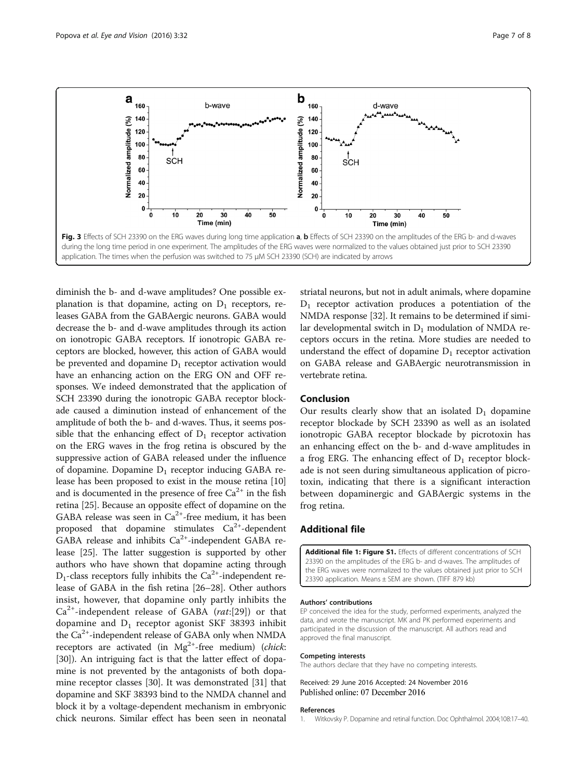<span id="page-6-0"></span>

diminish the b- and d-wave amplitudes? One possible explanation is that dopamine, acting on  $D_1$  receptors, releases GABA from the GABAergic neurons. GABA would decrease the b- and d-wave amplitudes through its action on ionotropic GABA receptors. If ionotropic GABA receptors are blocked, however, this action of GABA would be prevented and dopamine  $D_1$  receptor activation would have an enhancing action on the ERG ON and OFF responses. We indeed demonstrated that the application of SCH 23390 during the ionotropic GABA receptor blockade caused a diminution instead of enhancement of the amplitude of both the b- and d-waves. Thus, it seems possible that the enhancing effect of  $D_1$  receptor activation on the ERG waves in the frog retina is obscured by the suppressive action of GABA released under the influence of dopamine. Dopamine  $D_1$  receptor inducing GABA release has been proposed to exist in the mouse retina [[10](#page-7-0)] and is documented in the presence of free  $Ca^{2+}$  in the fish retina [[25](#page-7-0)]. Because an opposite effect of dopamine on the GABA release was seen in  $Ca^{2+}$ -free medium, it has been proposed that dopamine stimulates  $Ca^{2+}$ -dependent GABA release and inhibits  $Ca^{2+}$ -independent GABA release [\[25\]](#page-7-0). The latter suggestion is supported by other authors who have shown that dopamine acting through  $D_1$ -class receptors fully inhibits the Ca<sup>2+</sup>-independent release of GABA in the fish retina [\[26](#page-7-0)–[28\]](#page-7-0). Other authors insist, however, that dopamine only partly inhibits the  $Ca<sup>2+</sup>$ -independent release of GABA (rat:[[29](#page-7-0)]) or that dopamine and  $D_1$  receptor agonist SKF 38393 inhibit the  $Ca<sup>2+</sup>$ -independent release of GABA only when NMDA receptors are activated (in  $Mg^{2+}$ -free medium) (*chick*: [[30](#page-7-0)]). An intriguing fact is that the latter effect of dopamine is not prevented by the antagonists of both dopamine receptor classes [\[30](#page-7-0)]. It was demonstrated [[31](#page-7-0)] that dopamine and SKF 38393 bind to the NMDA channel and block it by a voltage-dependent mechanism in embryonic chick neurons. Similar effect has been seen in neonatal

striatal neurons, but not in adult animals, where dopamine  $D_1$  receptor activation produces a potentiation of the NMDA response [\[32](#page-7-0)]. It remains to be determined if similar developmental switch in  $D_1$  modulation of NMDA receptors occurs in the retina. More studies are needed to understand the effect of dopamine  $D_1$  receptor activation on GABA release and GABAergic neurotransmission in vertebrate retina.

### Conclusion

Our results clearly show that an isolated  $D_1$  dopamine receptor blockade by SCH 23390 as well as an isolated ionotropic GABA receptor blockade by picrotoxin has an enhancing effect on the b- and d-wave amplitudes in a frog ERG. The enhancing effect of  $D_1$  receptor blockade is not seen during simultaneous application of picrotoxin, indicating that there is a significant interaction between dopaminergic and GABAergic systems in the frog retina.

#### Additional file

[Additional file 1: Figure S1.](dx.doi.org/10.1186/s40662-016-0064-4) Effects of different concentrations of SCH 23390 on the amplitudes of the ERG b- and d-waves. The amplitudes of the ERG waves were normalized to the values obtained just prior to SCH 23390 application. Means ± SEM are shown. (TIFF 879 kb)

#### Authors' contributions

EP conceived the idea for the study, performed experiments, analyzed the data, and wrote the manuscript. MK and PK performed experiments and participated in the discussion of the manuscript. All authors read and approved the final manuscript.

#### Competing interests

The authors declare that they have no competing interests.

Received: 29 June 2016 Accepted: 24 November 2016 Published online: 07 December 2016

#### References

1. Witkovsky P. Dopamine and retinal function. Doc Ophthalmol. 2004;108:17–40.